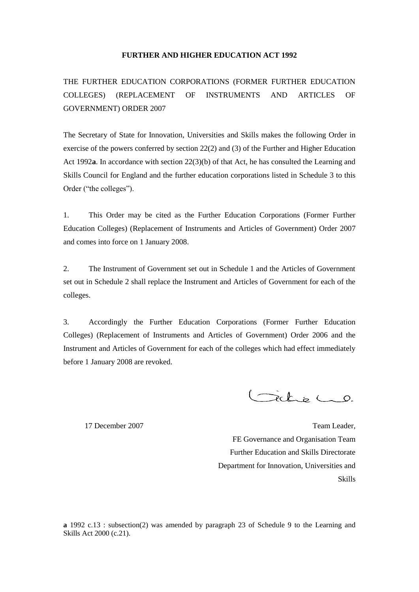# **FURTHER AND HIGHER EDUCATION ACT 1992**

THE FURTHER EDUCATION CORPORATIONS (FORMER FURTHER EDUCATION COLLEGES) (REPLACEMENT OF INSTRUMENTS AND ARTICLES OF GOVERNMENT) ORDER 2007

The Secretary of State for Innovation, Universities and Skills makes the following Order in exercise of the powers conferred by section 22(2) and (3) of the Further and Higher Education Act 1992**a**. In accordance with section 22(3)(b) of that Act, he has consulted the Learning and Skills Council for England and the further education corporations listed in Schedule 3 to this Order ("the colleges").

1. This Order may be cited as the Further Education Corporations (Former Further Education Colleges) (Replacement of Instruments and Articles of Government) Order 2007 and comes into force on 1 January 2008.

2. The Instrument of Government set out in Schedule 1 and the Articles of Government set out in Schedule 2 shall replace the Instrument and Articles of Government for each of the colleges.

3. Accordingly the Further Education Corporations (Former Further Education Colleges) (Replacement of Instruments and Articles of Government) Order 2006 and the Instrument and Articles of Government for each of the colleges which had effect immediately before 1 January 2008 are revoked.

Gichie Lo.

17 December 2007 Team Leader, FE Governance and Organisation Team Further Education and Skills Directorate Department for Innovation, Universities and Skills

**a** 1992 c.13 : subsection(2) was amended by paragraph 23 of Schedule 9 to the Learning and Skills Act 2000 (c.21).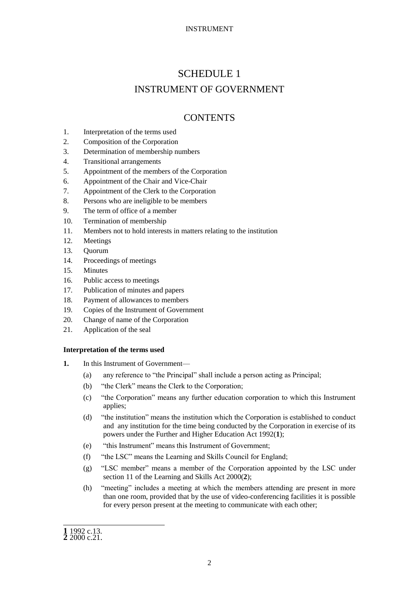# SCHEDULE 1 INSTRUMENT OF GOVERNMENT

# **CONTENTS**

- 1. Interpretation of the terms used
- 2. Composition of the Corporation
- 3. Determination of membership numbers
- 4. Transitional arrangements
- 5. Appointment of the members of the Corporation
- 6. Appointment of the Chair and Vice-Chair
- 7. Appointment of the Clerk to the Corporation
- 8. Persons who are ineligible to be members
- 9. The term of office of a member
- 10. Termination of membership
- 11. Members not to hold interests in matters relating to the institution
- 12. Meetings
- 13. Quorum
- 14. Proceedings of meetings
- 15. Minutes
- 16. Public access to meetings
- 17. Publication of minutes and papers
- 18. Payment of allowances to members
- 19. Copies of the Instrument of Government
- 20. Change of name of the Corporation
- 21. Application of the seal

# **Interpretation of the terms used**

- **1.** In this Instrument of Government—
	- (a) any reference to "the Principal" shall include a person acting as Principal;
	- (b) "the Clerk" means the Clerk to the Corporation;
	- (c) "the Corporation" means any further education corporation to which this Instrument applies;
	- (d) "the institution" means the institution which the Corporation is established to conduct and any institution for the time being conducted by the Corporation in exercise of its powers under the Further and Higher Education Act 1992(**1**);
	- (e) "this Instrument" means this Instrument of Government;
	- (f) "the LSC" means the Learning and Skills Council for England;
	- (g) "LSC member" means a member of the Corporation appointed by the LSC under section 11 of the Learning and Skills Act 2000(**2**);
	- (h) "meeting" includes a meeting at which the members attending are present in more than one room, provided that by the use of video-conferencing facilities it is possible for every person present at the meeting to communicate with each other;

<sup>-</sup>**1** 1992 c.13. **2** 2000 c.21.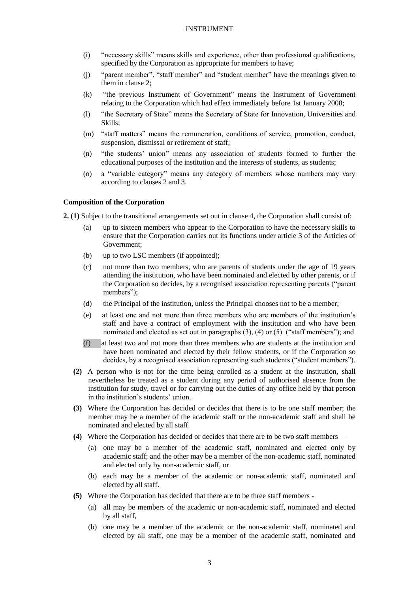- (i) "necessary skills" means skills and experience, other than professional qualifications, specified by the Corporation as appropriate for members to have;
- (j) "parent member", "staff member" and "student member" have the meanings given to them in clause 2;
- (k) "the previous Instrument of Government" means the Instrument of Government relating to the Corporation which had effect immediately before 1st January 2008;
- (l) "the Secretary of State" means the Secretary of State for Innovation, Universities and Skills;
- (m) "staff matters" means the remuneration, conditions of service, promotion, conduct, suspension, dismissal or retirement of staff;
- (n) "the students' union" means any association of students formed to further the educational purposes of the institution and the interests of students, as students;
- (o) a "variable category" means any category of members whose numbers may vary according to clauses 2 and 3.

#### **Composition of the Corporation**

**2. (1)** Subject to the transitional arrangements set out in clause 4, the Corporation shall consist of:

- (a) up to sixteen members who appear to the Corporation to have the necessary skills to ensure that the Corporation carries out its functions under article 3 of the Articles of Government;
- (b) up to two LSC members (if appointed);
- (c) not more than two members, who are parents of students under the age of 19 years attending the institution, who have been nominated and elected by other parents, or if the Corporation so decides, by a recognised association representing parents ("parent members");
- (d) the Principal of the institution, unless the Principal chooses not to be a member;
- (e) at least one and not more than three members who are members of the institution's staff and have a contract of employment with the institution and who have been nominated and elected as set out in paragraphs (3), (4) or (5) ("staff members"); and
- (f) at least two and not more than three members who are students at the institution and have been nominated and elected by their fellow students, or if the Corporation so decides, by a recognised association representing such students ("student members").
- **(2)** A person who is not for the time being enrolled as a student at the institution, shall nevertheless be treated as a student during any period of authorised absence from the institution for study, travel or for carrying out the duties of any office held by that person in the institution's students' union.
- **(3)** Where the Corporation has decided or decides that there is to be one staff member; the member may be a member of the academic staff or the non-academic staff and shall be nominated and elected by all staff.
- **(4)** Where the Corporation has decided or decides that there are to be two staff members—
	- (a) one may be a member of the academic staff, nominated and elected only by academic staff; and the other may be a member of the non-academic staff, nominated and elected only by non-academic staff, or
	- (b) each may be a member of the academic or non-academic staff, nominated and elected by all staff.
- **(5)** Where the Corporation has decided that there are to be three staff members
	- (a) all may be members of the academic or non-academic staff, nominated and elected by all staff,
	- (b) one may be a member of the academic or the non-academic staff, nominated and elected by all staff, one may be a member of the academic staff, nominated and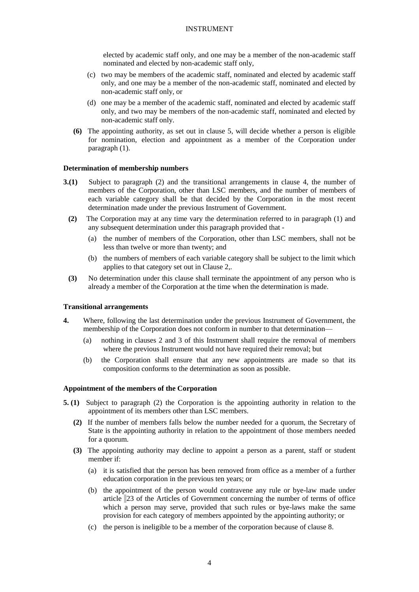elected by academic staff only, and one may be a member of the non-academic staff nominated and elected by non-academic staff only,

- (c) two may be members of the academic staff, nominated and elected by academic staff only, and one may be a member of the non-academic staff, nominated and elected by non-academic staff only, or
- (d) one may be a member of the academic staff, nominated and elected by academic staff only, and two may be members of the non-academic staff, nominated and elected by non-academic staff only.
- **(6)** The appointing authority, as set out in clause 5, will decide whether a person is eligible for nomination, election and appointment as a member of the Corporation under paragraph (1).

#### **Determination of membership numbers**

- **3.(1)** Subject to paragraph (2) and the transitional arrangements in clause 4, the number of members of the Corporation, other than LSC members, and the number of members of each variable category shall be that decided by the Corporation in the most recent determination made under the previous Instrument of Government.
	- **(2)** The Corporation may at any time vary the determination referred to in paragraph (1) and any subsequent determination under this paragraph provided that -
		- (a) the number of members of the Corporation, other than LSC members, shall not be less than twelve or more than twenty; and
		- (b) the numbers of members of each variable category shall be subject to the limit which applies to that category set out in Clause 2,.
	- **(3)** No determination under this clause shall terminate the appointment of any person who is already a member of the Corporation at the time when the determination is made.

#### **Transitional arrangements**

- **4.** Where, following the last determination under the previous Instrument of Government, the membership of the Corporation does not conform in number to that determination—
	- (a) nothing in clauses 2 and 3 of this Instrument shall require the removal of members where the previous Instrument would not have required their removal; but
	- (b) the Corporation shall ensure that any new appointments are made so that its composition conforms to the determination as soon as possible.

#### **Appointment of the members of the Corporation**

- **5. (1)** Subject to paragraph (2) the Corporation is the appointing authority in relation to the appointment of its members other than LSC members.
	- **(2)** If the number of members falls below the number needed for a quorum, the Secretary of State is the appointing authority in relation to the appointment of those members needed for a quorum.
	- **(3)** The appointing authority may decline to appoint a person as a parent, staff or student member if:
		- (a) it is satisfied that the person has been removed from office as a member of a further education corporation in the previous ten years; or
		- (b) the appointment of the person would contravene any rule or bye-law made under article 23 of the Articles of Government concerning the number of terms of office which a person may serve, provided that such rules or bye-laws make the same provision for each category of members appointed by the appointing authority; or
		- (c) the person is ineligible to be a member of the corporation because of clause 8.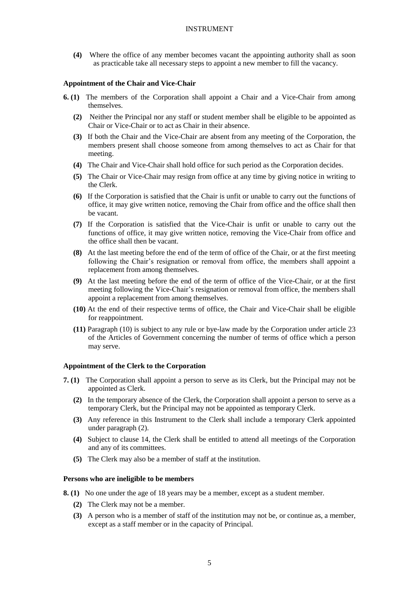**(4)** Where the office of any member becomes vacant the appointing authority shall as soon as practicable take all necessary steps to appoint a new member to fill the vacancy.

#### **Appointment of the Chair and Vice-Chair**

- **6. (1)** The members of the Corporation shall appoint a Chair and a Vice-Chair from among themselves.
	- **(2)** Neither the Principal nor any staff or student member shall be eligible to be appointed as Chair or Vice-Chair or to act as Chair in their absence.
	- **(3)** If both the Chair and the Vice-Chair are absent from any meeting of the Corporation, the members present shall choose someone from among themselves to act as Chair for that meeting.
	- **(4)** The Chair and Vice-Chair shall hold office for such period as the Corporation decides.
	- **(5)** The Chair or Vice-Chair may resign from office at any time by giving notice in writing to the Clerk.
	- **(6)** If the Corporation is satisfied that the Chair is unfit or unable to carry out the functions of office, it may give written notice, removing the Chair from office and the office shall then be vacant.
	- **(7)** If the Corporation is satisfied that the Vice-Chair is unfit or unable to carry out the functions of office, it may give written notice, removing the Vice-Chair from office and the office shall then be vacant.
	- **(8)** At the last meeting before the end of the term of office of the Chair, or at the first meeting following the Chair's resignation or removal from office, the members shall appoint a replacement from among themselves.
	- **(9)** At the last meeting before the end of the term of office of the Vice-Chair, or at the first meeting following the Vice-Chair's resignation or removal from office, the members shall appoint a replacement from among themselves.
	- **(10)** At the end of their respective terms of office, the Chair and Vice-Chair shall be eligible for reappointment.
	- **(11)** Paragraph (10) is subject to any rule or bye-law made by the Corporation under article 23 of the Articles of Government concerning the number of terms of office which a person may serve.

#### **Appointment of the Clerk to the Corporation**

- **7. (1)** The Corporation shall appoint a person to serve as its Clerk, but the Principal may not be appointed as Clerk.
	- **(2)** In the temporary absence of the Clerk, the Corporation shall appoint a person to serve as a temporary Clerk, but the Principal may not be appointed as temporary Clerk.
	- **(3)** Any reference in this Instrument to the Clerk shall include a temporary Clerk appointed under paragraph (2).
	- **(4)** Subject to clause 14, the Clerk shall be entitled to attend all meetings of the Corporation and any of its committees.
	- **(5)** The Clerk may also be a member of staff at the institution.

#### **Persons who are ineligible to be members**

- **8. (1)** No one under the age of 18 years may be a member, except as a student member.
	- **(2)** The Clerk may not be a member.
	- **(3)** A person who is a member of staff of the institution may not be, or continue as, a member, except as a staff member or in the capacity of Principal.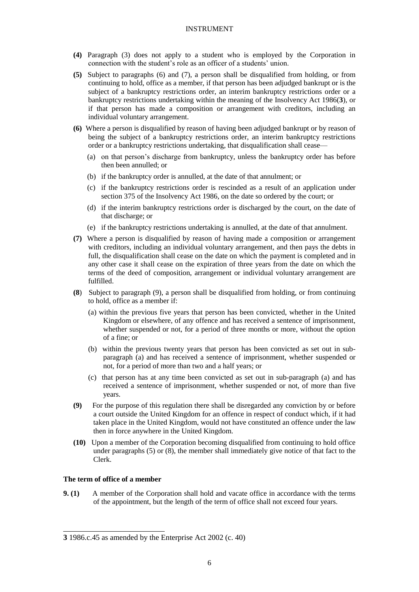- **(4)** Paragraph (3) does not apply to a student who is employed by the Corporation in connection with the student's role as an officer of a students' union.
- **(5)** Subject to paragraphs (6) and (7), a person shall be disqualified from holding, or from continuing to hold, office as a member, if that person has been adjudged bankrupt or is the subject of a bankruptcy restrictions order, an interim bankruptcy restrictions order or a bankruptcy restrictions undertaking within the meaning of the Insolvency Act 1986(**3**), or if that person has made a composition or arrangement with creditors, including an individual voluntary arrangement.
- **(6)** Where a person is disqualified by reason of having been adjudged bankrupt or by reason of being the subject of a bankruptcy restrictions order, an interim bankruptcy restrictions order or a bankruptcy restrictions undertaking, that disqualification shall cease—
	- (a) on that person's discharge from bankruptcy, unless the bankruptcy order has before then been annulled; or
	- (b) if the bankruptcy order is annulled, at the date of that annulment; or
	- (c) if the bankruptcy restrictions order is rescinded as a result of an application under section 375 of the Insolvency Act 1986, on the date so ordered by the court; or
	- (d) if the interim bankruptcy restrictions order is discharged by the court, on the date of that discharge; or
	- (e) if the bankruptcy restrictions undertaking is annulled, at the date of that annulment.
- **(7)** Where a person is disqualified by reason of having made a composition or arrangement with creditors, including an individual voluntary arrangement, and then pays the debts in full, the disqualification shall cease on the date on which the payment is completed and in any other case it shall cease on the expiration of three years from the date on which the terms of the deed of composition, arrangement or individual voluntary arrangement are fulfilled.
- **(8**) Subject to paragraph (9), a person shall be disqualified from holding, or from continuing to hold, office as a member if:
	- (a) within the previous five years that person has been convicted, whether in the United Kingdom or elsewhere, of any offence and has received a sentence of imprisonment, whether suspended or not, for a period of three months or more, without the option of a fine; or
	- (b) within the previous twenty years that person has been convicted as set out in subparagraph (a) and has received a sentence of imprisonment, whether suspended or not, for a period of more than two and a half years; or
	- (c) that person has at any time been convicted as set out in sub-paragraph (a) and has received a sentence of imprisonment, whether suspended or not, of more than five years.
- **(9)** For the purpose of this regulation there shall be disregarded any conviction by or before a court outside the United Kingdom for an offence in respect of conduct which, if it had taken place in the United Kingdom, would not have constituted an offence under the law then in force anywhere in the United Kingdom.
- **(10)** Upon a member of the Corporation becoming disqualified from continuing to hold office under paragraphs (5) or (8), the member shall immediately give notice of that fact to the Clerk.

# **The term of office of a member**

**9. (1)** A member of the Corporation shall hold and vacate office in accordance with the terms of the appointment, but the length of the term of office shall not exceed four years.

<sup>-</sup>**3** 1986.c.45 as amended by the Enterprise Act 2002 (c. 40)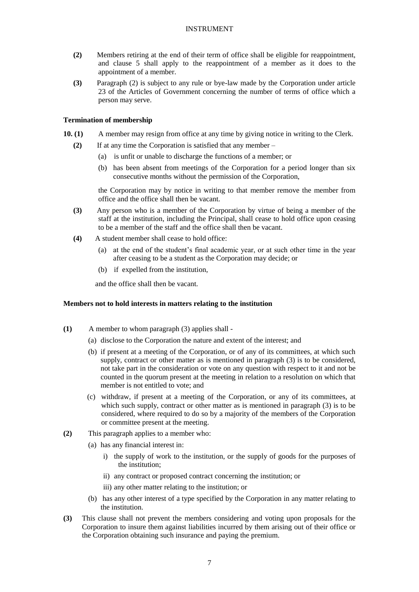- **(2)** Members retiring at the end of their term of office shall be eligible for reappointment, and clause 5 shall apply to the reappointment of a member as it does to the appointment of a member.
- **(3)** Paragraph (2) is subject to any rule or bye-law made by the Corporation under article 23 of the Articles of Government concerning the number of terms of office which a person may serve.

# **Termination of membership**

- **10. (1)** A member may resign from office at any time by giving notice in writing to the Clerk.
	- **(2)** If at any time the Corporation is satisfied that any member
		- (a) is unfit or unable to discharge the functions of a member; or
		- (b) has been absent from meetings of the Corporation for a period longer than six consecutive months without the permission of the Corporation,

the Corporation may by notice in writing to that member remove the member from office and the office shall then be vacant.

- **(3)** Any person who is a member of the Corporation by virtue of being a member of the staff at the institution, including the Principal, shall cease to hold office upon ceasing to be a member of the staff and the office shall then be vacant.
- **(4)** A student member shall cease to hold office:
	- (a) at the end of the student's final academic year, or at such other time in the year after ceasing to be a student as the Corporation may decide; or
	- (b) if expelled from the institution,

and the office shall then be vacant.

#### **Members not to hold interests in matters relating to the institution**

- **(1)** A member to whom paragraph (3) applies shall
	- (a) disclose to the Corporation the nature and extent of the interest; and
	- (b) if present at a meeting of the Corporation, or of any of its committees, at which such supply, contract or other matter as is mentioned in paragraph (3) is to be considered, not take part in the consideration or vote on any question with respect to it and not be counted in the quorum present at the meeting in relation to a resolution on which that member is not entitled to vote; and
	- (c) withdraw, if present at a meeting of the Corporation, or any of its committees, at which such supply, contract or other matter as is mentioned in paragraph (3) is to be considered, where required to do so by a majority of the members of the Corporation or committee present at the meeting.
- **(2)** This paragraph applies to a member who:
	- (a) has any financial interest in:
		- i) the supply of work to the institution, or the supply of goods for the purposes of the institution;
		- ii) any contract or proposed contract concerning the institution; or
		- iii) any other matter relating to the institution; or
	- (b) has any other interest of a type specified by the Corporation in any matter relating to the institution.
- **(3)** This clause shall not prevent the members considering and voting upon proposals for the Corporation to insure them against liabilities incurred by them arising out of their office or the Corporation obtaining such insurance and paying the premium.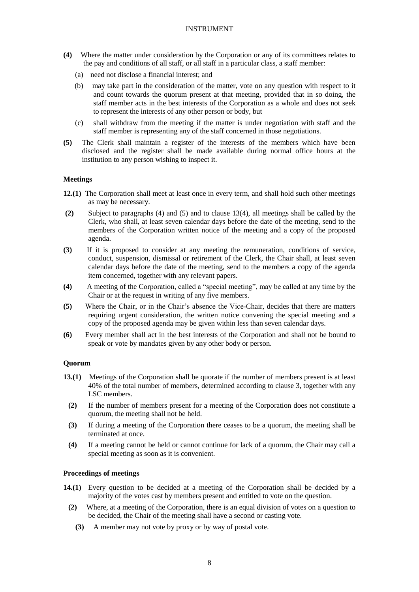- **(4)** Where the matter under consideration by the Corporation or any of its committees relates to the pay and conditions of all staff, or all staff in a particular class, a staff member:
	- (a) need not disclose a financial interest; and
	- (b) may take part in the consideration of the matter, vote on any question with respect to it and count towards the quorum present at that meeting, provided that in so doing, the staff member acts in the best interests of the Corporation as a whole and does not seek to represent the interests of any other person or body, but
	- (c) shall withdraw from the meeting if the matter is under negotiation with staff and the staff member is representing any of the staff concerned in those negotiations.
- **(5)** The Clerk shall maintain a register of the interests of the members which have been disclosed and the register shall be made available during normal office hours at the institution to any person wishing to inspect it.

#### **Meetings**

- **12.(1)** The Corporation shall meet at least once in every term, and shall hold such other meetings as may be necessary.
- **(2)** Subject to paragraphs (4) and (5) and to clause 13(4), all meetings shall be called by the Clerk, who shall, at least seven calendar days before the date of the meeting, send to the members of the Corporation written notice of the meeting and a copy of the proposed agenda.
- **(3)** If it is proposed to consider at any meeting the remuneration, conditions of service, conduct, suspension, dismissal or retirement of the Clerk, the Chair shall, at least seven calendar days before the date of the meeting, send to the members a copy of the agenda item concerned, together with any relevant papers.
- **(4)** A meeting of the Corporation, called a "special meeting", may be called at any time by the Chair or at the request in writing of any five members.
- **(5)** Where the Chair, or in the Chair's absence the Vice-Chair, decides that there are matters requiring urgent consideration, the written notice convening the special meeting and a copy of the proposed agenda may be given within less than seven calendar days.
- **(6)** Every member shall act in the best interests of the Corporation and shall not be bound to speak or vote by mandates given by any other body or person.

#### **Quorum**

- **13.(1)** Meetings of the Corporation shall be quorate if the number of members present is at least 40% of the total number of members, determined according to clause 3, together with any LSC members.
	- **(2)** If the number of members present for a meeting of the Corporation does not constitute a quorum, the meeting shall not be held.
	- **(3)** If during a meeting of the Corporation there ceases to be a quorum, the meeting shall be terminated at once.
	- **(4)** If a meeting cannot be held or cannot continue for lack of a quorum, the Chair may call a special meeting as soon as it is convenient.

#### **Proceedings of meetings**

- **14.(1)** Every question to be decided at a meeting of the Corporation shall be decided by a majority of the votes cast by members present and entitled to vote on the question.
	- **(2)** Where, at a meeting of the Corporation, there is an equal division of votes on a question to be decided, the Chair of the meeting shall have a second or casting vote.
		- **(3)** A member may not vote by proxy or by way of postal vote.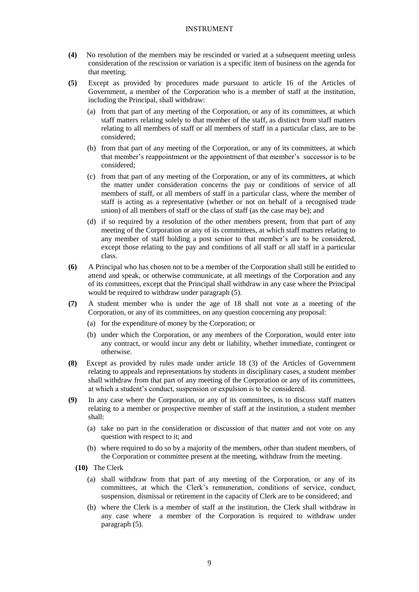- **(4)** No resolution of the members may be rescinded or varied at a subsequent meeting unless consideration of the rescission or variation is a specific item of business on the agenda for that meeting.
- **(5)** Except as provided by procedures made pursuant to article 16 of the Articles of Government, a member of the Corporation who is a member of staff at the institution, including the Principal, shall withdraw:
	- (a) from that part of any meeting of the Corporation, or any of its committees, at which staff matters relating solely to that member of the staff, as distinct from staff matters relating to all members of staff or all members of staff in a particular class, are to be considered;
	- (b) from that part of any meeting of the Corporation, or any of its committees, at which that member's reappointment or the appointment of that member's successor is to be considered;
	- (c) from that part of any meeting of the Corporation, or any of its committees, at which the matter under consideration concerns the pay or conditions of service of all members of staff, or all members of staff in a particular class, where the member of staff is acting as a representative (whether or not on behalf of a recognised trade union) of all members of staff or the class of staff (as the case may be); and
	- (d) if so required by a resolution of the other members present, from that part of any meeting of the Corporation or any of its committees, at which staff matters relating to any member of staff holding a post senior to that member's are to be considered, except those relating to the pay and conditions of all staff or all staff in a particular class.
- **(6)** A Principal who has chosen not to be a member of the Corporation shall still be entitled to attend and speak, or otherwise communicate, at all meetings of the Corporation and any of its committees, except that the Principal shall withdraw in any case where the Principal would be required to withdraw under paragraph (5).
- **(7)** A student member who is under the age of 18 shall not vote at a meeting of the Corporation, or any of its committees, on any question concerning any proposal:
	- (a) for the expenditure of money by the Corporation; or
	- (b) under which the Corporation, or any members of the Corporation, would enter into any contract, or would incur any debt or liability, whether immediate, contingent or otherwise.
- **(8)** Except as provided by rules made under article 18 (3) of the Articles of Government relating to appeals and representations by students in disciplinary cases, a student member shall withdraw from that part of any meeting of the Corporation or any of its committees, at which a student's conduct, suspension or expulsion is to be considered.
- **(9)** In any case where the Corporation, or any of its committees, is to discuss staff matters relating to a member or prospective member of staff at the institution, a student member shall:
	- (a) take no part in the consideration or discussion of that matter and not vote on any question with respect to it; and
	- (b) where required to do so by a majority of the members, other than student members, of the Corporation or committee present at the meeting, withdraw from the meeting.
	- **(10)** The Clerk
		- (a) shall withdraw from that part of any meeting of the Corporation, or any of its committees, at which the Clerk's remuneration, conditions of service, conduct, suspension, dismissal or retirement in the capacity of Clerk are to be considered; and
		- (b) where the Clerk is a member of staff at the institution, the Clerk shall withdraw in any case where a member of the Corporation is required to withdraw under paragraph (5).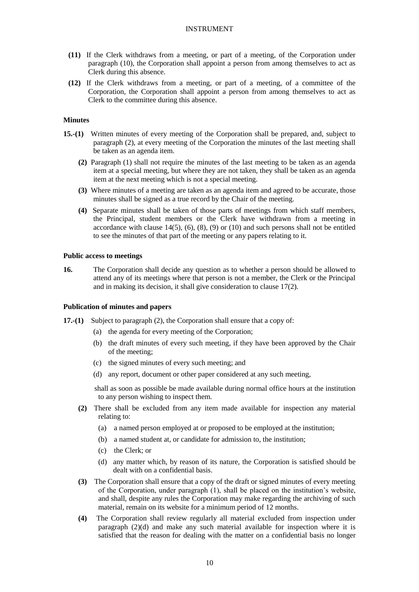- **(11)** If the Clerk withdraws from a meeting, or part of a meeting, of the Corporation under paragraph (10), the Corporation shall appoint a person from among themselves to act as Clerk during this absence.
- **(12)** If the Clerk withdraws from a meeting, or part of a meeting, of a committee of the Corporation, the Corporation shall appoint a person from among themselves to act as Clerk to the committee during this absence.

#### **Minutes**

- **15.-(1)** Written minutes of every meeting of the Corporation shall be prepared, and, subject to paragraph (2), at every meeting of the Corporation the minutes of the last meeting shall be taken as an agenda item.
	- **(2)** Paragraph (1) shall not require the minutes of the last meeting to be taken as an agenda item at a special meeting, but where they are not taken, they shall be taken as an agenda item at the next meeting which is not a special meeting.
	- **(3)** Where minutes of a meeting are taken as an agenda item and agreed to be accurate, those minutes shall be signed as a true record by the Chair of the meeting.
	- **(4)** Separate minutes shall be taken of those parts of meetings from which staff members, the Principal, student members or the Clerk have withdrawn from a meeting in accordance with clause  $14(5)$ ,  $(6)$ ,  $(8)$ ,  $(9)$  or  $(10)$  and such persons shall not be entitled to see the minutes of that part of the meeting or any papers relating to it.

#### **Public access to meetings**

**16.** The Corporation shall decide any question as to whether a person should be allowed to attend any of its meetings where that person is not a member, the Clerk or the Principal and in making its decision, it shall give consideration to clause 17(2).

# **Publication of minutes and papers**

- **17.-(1)** Subject to paragraph (2), the Corporation shall ensure that a copy of:
	- (a) the agenda for every meeting of the Corporation;
	- (b) the draft minutes of every such meeting, if they have been approved by the Chair of the meeting;
	- (c) the signed minutes of every such meeting; and
	- (d) any report, document or other paper considered at any such meeting,

 shall as soon as possible be made available during normal office hours at the institution to any person wishing to inspect them.

- **(2)** There shall be excluded from any item made available for inspection any material relating to:
	- (a) a named person employed at or proposed to be employed at the institution;
	- (b) a named student at, or candidate for admission to, the institution;
	- (c) the Clerk; or
	- (d) any matter which, by reason of its nature, the Corporation is satisfied should be dealt with on a confidential basis.
- **(3)** The Corporation shall ensure that a copy of the draft or signed minutes of every meeting of the Corporation, under paragraph (1), shall be placed on the institution's website, and shall, despite any rules the Corporation may make regarding the archiving of such material, remain on its website for a minimum period of 12 months.
- **(4)** The Corporation shall review regularly all material excluded from inspection under paragraph (2)(d) and make any such material available for inspection where it is satisfied that the reason for dealing with the matter on a confidential basis no longer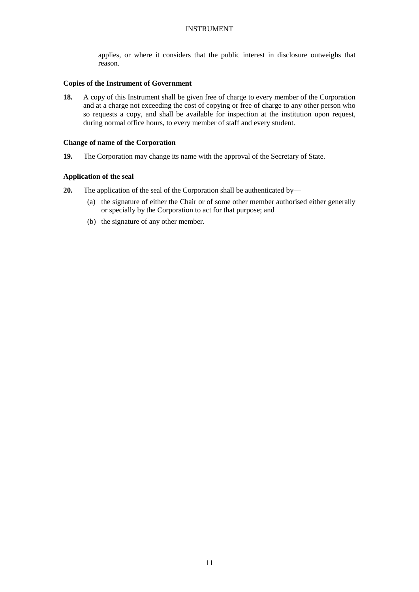applies, or where it considers that the public interest in disclosure outweighs that reason.

# **Copies of the Instrument of Government**

**18.** A copy of this Instrument shall be given free of charge to every member of the Corporation and at a charge not exceeding the cost of copying or free of charge to any other person who so requests a copy, and shall be available for inspection at the institution upon request, during normal office hours, to every member of staff and every student.

# **Change of name of the Corporation**

**19.** The Corporation may change its name with the approval of the Secretary of State.

#### **Application of the seal**

- **20.** The application of the seal of the Corporation shall be authenticated by—
	- (a) the signature of either the Chair or of some other member authorised either generally or specially by the Corporation to act for that purpose; and
	- (b) the signature of any other member.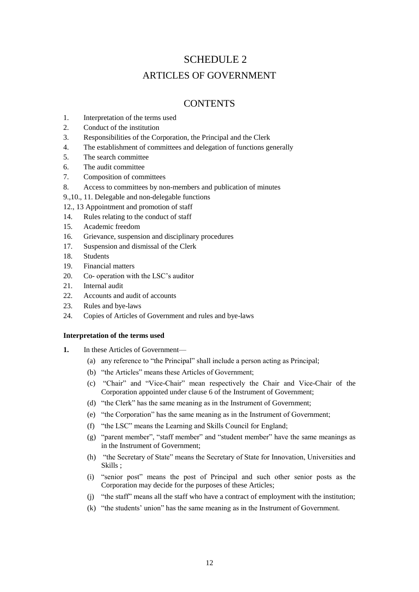# SCHEDULE 2 ARTICLES OF GOVERNMENT

# **CONTENTS**

- 1. Interpretation of the terms used
- 2. Conduct of the institution
- 3. Responsibilities of the Corporation, the Principal and the Clerk
- 4. The establishment of committees and delegation of functions generally
- 5. The search committee
- 6. The audit committee
- 7. Composition of committees
- 8. Access to committees by non-members and publication of minutes
- 9.,10., 11. Delegable and non-delegable functions

12., 13 Appointment and promotion of staff

- 14. Rules relating to the conduct of staff
- 15. Academic freedom
- 16. Grievance, suspension and disciplinary procedures
- 17. Suspension and dismissal of the Clerk
- 18. Students
- 19. Financial matters
- 20. Co- operation with the LSC's auditor
- 21. Internal audit
- 22. Accounts and audit of accounts
- 23. Rules and bye-laws
- 24. Copies of Articles of Government and rules and bye-laws

#### **Interpretation of the terms used**

- **1.** In these Articles of Government—
	- (a) any reference to "the Principal" shall include a person acting as Principal;
	- (b) "the Articles" means these Articles of Government;
	- (c) "Chair" and "Vice-Chair" mean respectively the Chair and Vice-Chair of the Corporation appointed under clause 6 of the Instrument of Government;
	- (d) "the Clerk" has the same meaning as in the Instrument of Government;
	- (e) "the Corporation" has the same meaning as in the Instrument of Government;
	- (f) "the LSC" means the Learning and Skills Council for England;
	- (g) "parent member", "staff member" and "student member" have the same meanings as in the Instrument of Government;
	- (h) "the Secretary of State" means the Secretary of State for Innovation, Universities and Skills ;
	- (i) "senior post" means the post of Principal and such other senior posts as the Corporation may decide for the purposes of these Articles;
	- (j) "the staff" means all the staff who have a contract of employment with the institution;
	- (k) "the students' union" has the same meaning as in the Instrument of Government.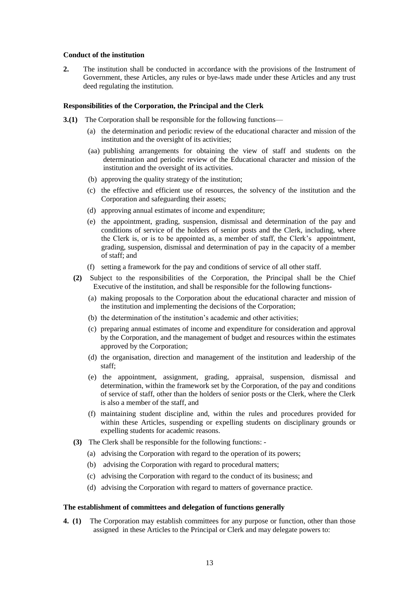#### **Conduct of the institution**

**2.** The institution shall be conducted in accordance with the provisions of the Instrument of Government, these Articles, any rules or bye-laws made under these Articles and any trust deed regulating the institution.

#### **Responsibilities of the Corporation, the Principal and the Clerk**

- **3.(1)** The Corporation shall be responsible for the following functions—
	- (a) the determination and periodic review of the educational character and mission of the institution and the oversight of its activities;
	- (aa) publishing arrangements for obtaining the view of staff and students on the determination and periodic review of the Educational character and mission of the institution and the oversight of its activities.
	- (b) approving the quality strategy of the institution;
	- (c) the effective and efficient use of resources, the solvency of the institution and the Corporation and safeguarding their assets;
	- (d) approving annual estimates of income and expenditure;
	- (e) the appointment, grading, suspension, dismissal and determination of the pay and conditions of service of the holders of senior posts and the Clerk, including, where the Clerk is, or is to be appointed as, a member of staff, the Clerk's appointment, grading, suspension, dismissal and determination of pay in the capacity of a member of staff; and
	- (f) setting a framework for the pay and conditions of service of all other staff.
	- **(2)** Subject to the responsibilities of the Corporation, the Principal shall be the Chief Executive of the institution, and shall be responsible for the following functions-
		- (a) making proposals to the Corporation about the educational character and mission of the institution and implementing the decisions of the Corporation;
		- (b) the determination of the institution's academic and other activities;
		- (c) preparing annual estimates of income and expenditure for consideration and approval by the Corporation, and the management of budget and resources within the estimates approved by the Corporation;
		- (d) the organisation, direction and management of the institution and leadership of the staff;
		- (e) the appointment, assignment, grading, appraisal, suspension, dismissal and determination, within the framework set by the Corporation, of the pay and conditions of service of staff, other than the holders of senior posts or the Clerk, where the Clerk is also a member of the staff, and
		- (f) maintaining student discipline and, within the rules and procedures provided for within these Articles, suspending or expelling students on disciplinary grounds or expelling students for academic reasons.
	- **(3)** The Clerk shall be responsible for the following functions:
		- (a) advising the Corporation with regard to the operation of its powers;
		- (b) advising the Corporation with regard to procedural matters;
		- (c) advising the Corporation with regard to the conduct of its business; and
		- (d) advising the Corporation with regard to matters of governance practice.

#### **The establishment of committees and delegation of functions generally**

**4. (1)** The Corporation may establish committees for any purpose or function, other than those assigned in these Articles to the Principal or Clerk and may delegate powers to: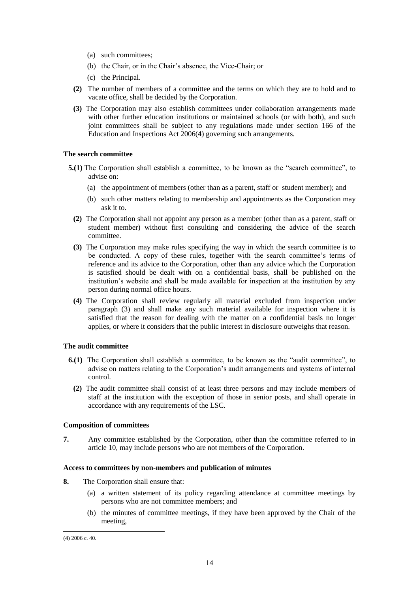- (a) such committees;
- (b) the Chair, or in the Chair's absence, the Vice-Chair; or
- (c) the Principal.
- **(2)** The number of members of a committee and the terms on which they are to hold and to vacate office, shall be decided by the Corporation.
- **(3)** The Corporation may also establish committees under collaboration arrangements made with other further education institutions or maintained schools (or with both), and such joint committees shall be subject to any regulations made under section 166 of the Education and Inspections Act 2006(**4**) governing such arrangements.

#### **The search committee**

- **5.(1)** The Corporation shall establish a committee, to be known as the "search committee", to advise on:
	- (a) the appointment of members (other than as a parent, staff or student member); and
	- (b) such other matters relating to membership and appointments as the Corporation may ask it to.
- **(2)** The Corporation shall not appoint any person as a member (other than as a parent, staff or student member) without first consulting and considering the advice of the search committee.
- **(3)** The Corporation may make rules specifying the way in which the search committee is to be conducted. A copy of these rules, together with the search committee's terms of reference and its advice to the Corporation, other than any advice which the Corporation is satisfied should be dealt with on a confidential basis, shall be published on the institution's website and shall be made available for inspection at the institution by any person during normal office hours.
- **(4)** The Corporation shall review regularly all material excluded from inspection under paragraph (3) and shall make any such material available for inspection where it is satisfied that the reason for dealing with the matter on a confidential basis no longer applies, or where it considers that the public interest in disclosure outweighs that reason.

#### **The audit committee**

- **6.(1)** The Corporation shall establish a committee, to be known as the "audit committee", to advise on matters relating to the Corporation's audit arrangements and systems of internal control.
	- **(2)** The audit committee shall consist of at least three persons and may include members of staff at the institution with the exception of those in senior posts, and shall operate in accordance with any requirements of the LSC.

# **Composition of committees**

**7.** Any committee established by the Corporation, other than the committee referred to in article 10, may include persons who are not members of the Corporation.

#### **Access to committees by non-members and publication of minutes**

- **8.** The Corporation shall ensure that:
	- (a) a written statement of its policy regarding attendance at committee meetings by persons who are not committee members; and
	- (b) the minutes of committee meetings, if they have been approved by the Chair of the meeting,

-

<sup>(</sup>**4**) 2006 c. 40.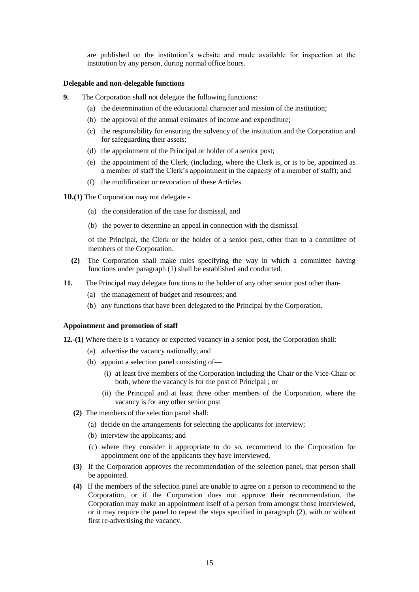are published on the institution's website and made available for inspection at the institution by any person, during normal office hours.

#### **Delegable and non-delegable functions**

- **9.** The Corporation shall not delegate the following functions:
	- (a) the determination of the educational character and mission of the institution;
	- (b) the approval of the annual estimates of income and expenditure;
	- (c) the responsibility for ensuring the solvency of the institution and the Corporation and for safeguarding their assets;
	- (d) the appointment of the Principal or holder of a senior post;
	- (e) the appointment of the Clerk, (including, where the Clerk is, or is to be, appointed as a member of staff the Clerk's appointment in the capacity of a member of staff); and
	- (f) the modification or revocation of these Articles.
- **10.(1)** The Corporation may not delegate
	- (a) the consideration of the case for dismissal, and
	- (b) the power to determine an appeal in connection with the dismissal

of the Principal, the Clerk or the holder of a senior post, other than to a committee of members of the Corporation.

- **(2)** The Corporation shall make rules specifying the way in which a committee having functions under paragraph (1) shall be established and conducted.
- **11.** The Principal may delegate functions to the holder of any other senior post other than-
	- (a) the management of budget and resources; and
	- (b) any functions that have been delegated to the Principal by the Corporation.

#### **Appointment and promotion of staff**

**12.-(1)** Where there is a vacancy or expected vacancy in a senior post, the Corporation shall:

- (a) advertise the vacancy nationally; and
- (b) appoint a selection panel consisting of—
	- (i) at least five members of the Corporation including the Chair or the Vice-Chair or both, where the vacancy is for the post of Principal ; or
	- (ii) the Principal and at least three other members of the Corporation, where the vacancy is for any other senior post
- **(2)** The members of the selection panel shall:
	- (a) decide on the arrangements for selecting the applicants for interview;
	- (b) interview the applicants; and
	- (c) where they consider it appropriate to do so, recommend to the Corporation for appointment one of the applicants they have interviewed.
- **(3)** If the Corporation approves the recommendation of the selection panel, that person shall be appointed.
- **(4)** If the members of the selection panel are unable to agree on a person to recommend to the Corporation, or if the Corporation does not approve their recommendation, the Corporation may make an appointment itself of a person from amongst those interviewed, or it may require the panel to repeat the steps specified in paragraph (2), with or without first re-advertising the vacancy.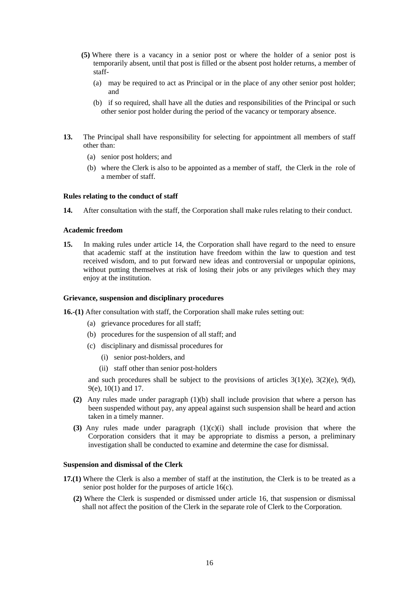- **(5)** Where there is a vacancy in a senior post or where the holder of a senior post is temporarily absent, until that post is filled or the absent post holder returns, a member of staff-
	- (a) may be required to act as Principal or in the place of any other senior post holder; and
	- (b) if so required, shall have all the duties and responsibilities of the Principal or such other senior post holder during the period of the vacancy or temporary absence.
- **13.** The Principal shall have responsibility for selecting for appointment all members of staff other than:
	- (a) senior post holders; and
	- (b) where the Clerk is also to be appointed as a member of staff, the Clerk in the role of a member of staff.

# **Rules relating to the conduct of staff**

**14.** After consultation with the staff, the Corporation shall make rules relating to their conduct.

# **Academic freedom**

**15.** In making rules under article 14, the Corporation shall have regard to the need to ensure that academic staff at the institution have freedom within the law to question and test received wisdom, and to put forward new ideas and controversial or unpopular opinions, without putting themselves at risk of losing their jobs or any privileges which they may enjoy at the institution.

#### **Grievance, suspension and disciplinary procedures**

**16.-(1)** After consultation with staff, the Corporation shall make rules setting out:

- (a) grievance procedures for all staff;
- (b) procedures for the suspension of all staff; and
- (c) disciplinary and dismissal procedures for
	- (i) senior post-holders, and
	- (ii) staff other than senior post-holders

and such procedures shall be subject to the provisions of articles  $3(1)(e)$ ,  $3(2)(e)$ ,  $9(d)$ , 9(e), 10(1) and 17.

- **(2)** Any rules made under paragraph (1)(b) shall include provision that where a person has been suspended without pay, any appeal against such suspension shall be heard and action taken in a timely manner.
- (3) Any rules made under paragraph  $(1)(c)(i)$  shall include provision that where the Corporation considers that it may be appropriate to dismiss a person, a preliminary investigation shall be conducted to examine and determine the case for dismissal.

#### **Suspension and dismissal of the Clerk**

- **17.(1)** Where the Clerk is also a member of staff at the institution, the Clerk is to be treated as a senior post holder for the purposes of article 16(c).
	- **(2)** Where the Clerk is suspended or dismissed under article 16, that suspension or dismissal shall not affect the position of the Clerk in the separate role of Clerk to the Corporation.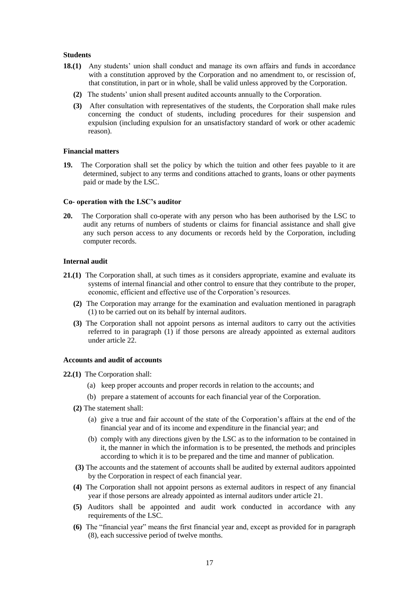#### **Students**

- **18.(1)** Any students' union shall conduct and manage its own affairs and funds in accordance with a constitution approved by the Corporation and no amendment to, or rescission of, that constitution, in part or in whole, shall be valid unless approved by the Corporation.
	- **(2)** The students' union shall present audited accounts annually to the Corporation.
	- **(3)** After consultation with representatives of the students, the Corporation shall make rules concerning the conduct of students, including procedures for their suspension and expulsion (including expulsion for an unsatisfactory standard of work or other academic reason).

# **Financial matters**

**19.** The Corporation shall set the policy by which the tuition and other fees payable to it are determined, subject to any terms and conditions attached to grants, loans or other payments paid or made by the LSC.

#### **Co- operation with the LSC's auditor**

**20.** The Corporation shall co-operate with any person who has been authorised by the LSC to audit any returns of numbers of students or claims for financial assistance and shall give any such person access to any documents or records held by the Corporation, including computer records.

## **Internal audit**

- **21.(1)** The Corporation shall, at such times as it considers appropriate, examine and evaluate its systems of internal financial and other control to ensure that they contribute to the proper, economic, efficient and effective use of the Corporation's resources.
	- **(2)** The Corporation may arrange for the examination and evaluation mentioned in paragraph (1) to be carried out on its behalf by internal auditors.
	- **(3)** The Corporation shall not appoint persons as internal auditors to carry out the activities referred to in paragraph (1) if those persons are already appointed as external auditors under article 22.

# **Accounts and audit of accounts**

**22.(1)** The Corporation shall:

- (a) keep proper accounts and proper records in relation to the accounts; and
- (b) prepare a statement of accounts for each financial year of the Corporation.
- **(2)** The statement shall:
	- (a) give a true and fair account of the state of the Corporation's affairs at the end of the financial year and of its income and expenditure in the financial year; and
	- (b) comply with any directions given by the LSC as to the information to be contained in it, the manner in which the information is to be presented, the methods and principles according to which it is to be prepared and the time and manner of publication.
- **(3)** The accounts and the statement of accounts shall be audited by external auditors appointed by the Corporation in respect of each financial year.
- **(4)** The Corporation shall not appoint persons as external auditors in respect of any financial year if those persons are already appointed as internal auditors under article 21.
- **(5)** Auditors shall be appointed and audit work conducted in accordance with any requirements of the LSC.
- **(6)** The "financial year" means the first financial year and, except as provided for in paragraph (8), each successive period of twelve months.